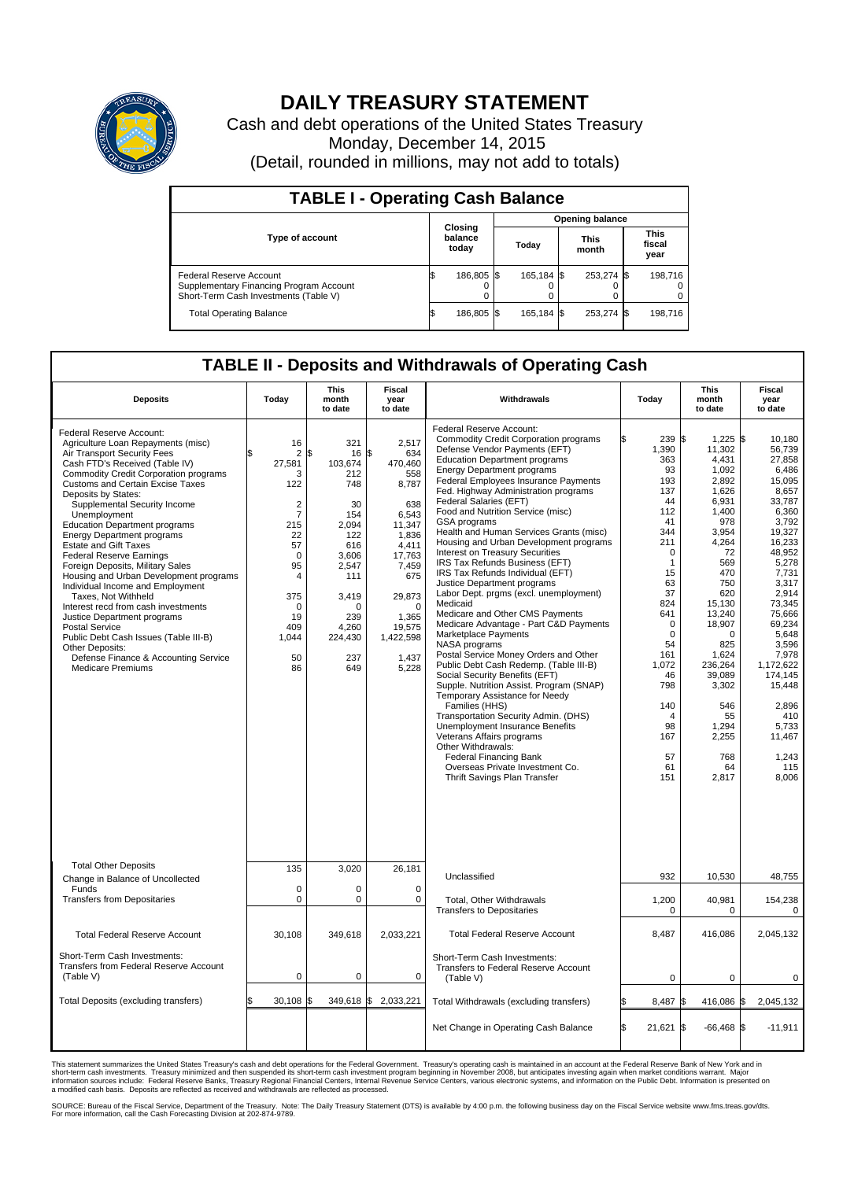

## **DAILY TREASURY STATEMENT**

Cash and debt operations of the United States Treasury Monday, December 14, 2015 (Detail, rounded in millions, may not add to totals)

| <b>TABLE I - Operating Cash Balance</b>                                                                     |  |                             |  |                        |  |                      |  |                               |  |  |  |
|-------------------------------------------------------------------------------------------------------------|--|-----------------------------|--|------------------------|--|----------------------|--|-------------------------------|--|--|--|
|                                                                                                             |  |                             |  | <b>Opening balance</b> |  |                      |  |                               |  |  |  |
| <b>Type of account</b>                                                                                      |  | Closing<br>balance<br>today |  | Todav                  |  | <b>This</b><br>month |  | <b>This</b><br>fiscal<br>year |  |  |  |
| Federal Reserve Account<br>Supplementary Financing Program Account<br>Short-Term Cash Investments (Table V) |  | 186,805                     |  | 165.184 \$             |  | 253,274 \$           |  | 198,716                       |  |  |  |
| <b>Total Operating Balance</b>                                                                              |  | 186,805 \$                  |  | 165,184 \$             |  | 253,274 \$           |  | 198,716                       |  |  |  |

## **TABLE II - Deposits and Withdrawals of Operating Cash**

| <b>Deposits</b>                                                                                                                                                                                                                                                                                                                                                                                                                                                                                                                                                                                                                                                                                                                                                                                                           | Today                                                                                                                                                                               | <b>This</b><br>month<br>to date                                                                                                                                     | <b>Fiscal</b><br>year<br>to date                                                                                                                                                               | Withdrawals                                                                                                                                                                                                                                                                                                                                                                                                                                                                                                                                                                                                                                                                                                                                                                                                                                                                                                                                                                                                                                                                                                                                                                                                                  | Today                                                                                                                                                                                                                                                      | <b>This</b><br>month<br>to date                                                                                                                                                                                                                                                    | <b>Fiscal</b><br>year<br>to date                                                                                                                                                                                                                                                                            |  |
|---------------------------------------------------------------------------------------------------------------------------------------------------------------------------------------------------------------------------------------------------------------------------------------------------------------------------------------------------------------------------------------------------------------------------------------------------------------------------------------------------------------------------------------------------------------------------------------------------------------------------------------------------------------------------------------------------------------------------------------------------------------------------------------------------------------------------|-------------------------------------------------------------------------------------------------------------------------------------------------------------------------------------|---------------------------------------------------------------------------------------------------------------------------------------------------------------------|------------------------------------------------------------------------------------------------------------------------------------------------------------------------------------------------|------------------------------------------------------------------------------------------------------------------------------------------------------------------------------------------------------------------------------------------------------------------------------------------------------------------------------------------------------------------------------------------------------------------------------------------------------------------------------------------------------------------------------------------------------------------------------------------------------------------------------------------------------------------------------------------------------------------------------------------------------------------------------------------------------------------------------------------------------------------------------------------------------------------------------------------------------------------------------------------------------------------------------------------------------------------------------------------------------------------------------------------------------------------------------------------------------------------------------|------------------------------------------------------------------------------------------------------------------------------------------------------------------------------------------------------------------------------------------------------------|------------------------------------------------------------------------------------------------------------------------------------------------------------------------------------------------------------------------------------------------------------------------------------|-------------------------------------------------------------------------------------------------------------------------------------------------------------------------------------------------------------------------------------------------------------------------------------------------------------|--|
| Federal Reserve Account:<br>Agriculture Loan Repayments (misc)<br>Air Transport Security Fees<br>Cash FTD's Received (Table IV)<br><b>Commodity Credit Corporation programs</b><br><b>Customs and Certain Excise Taxes</b><br>Deposits by States:<br>Supplemental Security Income<br>Unemployment<br><b>Education Department programs</b><br><b>Energy Department programs</b><br><b>Estate and Gift Taxes</b><br><b>Federal Reserve Earnings</b><br>Foreign Deposits, Military Sales<br>Housing and Urban Development programs<br>Individual Income and Employment<br>Taxes, Not Withheld<br>Interest recd from cash investments<br>Justice Department programs<br><b>Postal Service</b><br>Public Debt Cash Issues (Table III-B)<br>Other Deposits:<br>Defense Finance & Accounting Service<br><b>Medicare Premiums</b> | 16<br>2<br>27,581<br>3<br>122<br>$\overline{2}$<br>$\overline{7}$<br>215<br>22<br>57<br>$\mathbf 0$<br>95<br>$\overline{4}$<br>375<br>$\mathbf 0$<br>19<br>409<br>1,044<br>50<br>86 | 321<br>\$<br>16<br>103,674<br>212<br>748<br>30<br>154<br>2.094<br>122<br>616<br>3.606<br>2,547<br>111<br>3,419<br>$\Omega$<br>239<br>4,260<br>224,430<br>237<br>649 | 2,517<br>\$<br>634<br>470,460<br>558<br>8,787<br>638<br>6,543<br>11,347<br>1,836<br>4,411<br>17,763<br>7,459<br>675<br>29,873<br>$\mathbf 0$<br>1,365<br>19,575<br>1,422,598<br>1,437<br>5,228 | Federal Reserve Account:<br><b>Commodity Credit Corporation programs</b><br>Defense Vendor Payments (EFT)<br><b>Education Department programs</b><br><b>Energy Department programs</b><br>Federal Employees Insurance Payments<br>Fed. Highway Administration programs<br>Federal Salaries (EFT)<br>Food and Nutrition Service (misc)<br>GSA programs<br>Health and Human Services Grants (misc)<br>Housing and Urban Development programs<br>Interest on Treasury Securities<br>IRS Tax Refunds Business (EFT)<br>IRS Tax Refunds Individual (EFT)<br>Justice Department programs<br>Labor Dept. prgms (excl. unemployment)<br>Medicaid<br>Medicare and Other CMS Payments<br>Medicare Advantage - Part C&D Payments<br>Marketplace Payments<br>NASA programs<br>Postal Service Money Orders and Other<br>Public Debt Cash Redemp. (Table III-B)<br>Social Security Benefits (EFT)<br>Supple. Nutrition Assist. Program (SNAP)<br>Temporary Assistance for Needy<br>Families (HHS)<br>Transportation Security Admin. (DHS)<br><b>Unemployment Insurance Benefits</b><br>Veterans Affairs programs<br>Other Withdrawals:<br><b>Federal Financing Bank</b><br>Overseas Private Investment Co.<br>Thrift Savings Plan Transfer | 239 \$<br>1,390<br>363<br>93<br>193<br>137<br>44<br>112<br>41<br>344<br>211<br>$\mathbf 0$<br>$\mathbf{1}$<br>15<br>63<br>37<br>824<br>641<br>$\mathbf 0$<br>0<br>54<br>161<br>1,072<br>46<br>798<br>140<br>$\overline{4}$<br>98<br>167<br>57<br>61<br>151 | $1,225$ \$<br>11,302<br>4,431<br>1,092<br>2,892<br>1,626<br>6,931<br>1,400<br>978<br>3,954<br>4,264<br>72<br>569<br>470<br>750<br>620<br>15,130<br>13,240<br>18,907<br>$\Omega$<br>825<br>1,624<br>236,264<br>39,089<br>3,302<br>546<br>55<br>1.294<br>2,255<br>768<br>64<br>2,817 | 10.180<br>56,739<br>27,858<br>6.486<br>15,095<br>8,657<br>33,787<br>6,360<br>3,792<br>19.327<br>16,233<br>48,952<br>5.278<br>7,731<br>3,317<br>2,914<br>73,345<br>75,666<br>69,234<br>5,648<br>3,596<br>7,978<br>1,172,622<br>174,145<br>15,448<br>2,896<br>410<br>5,733<br>11,467<br>1,243<br>115<br>8,006 |  |
| <b>Total Other Deposits</b><br>Change in Balance of Uncollected                                                                                                                                                                                                                                                                                                                                                                                                                                                                                                                                                                                                                                                                                                                                                           | 135                                                                                                                                                                                 | 3,020                                                                                                                                                               | 26,181                                                                                                                                                                                         | Unclassified                                                                                                                                                                                                                                                                                                                                                                                                                                                                                                                                                                                                                                                                                                                                                                                                                                                                                                                                                                                                                                                                                                                                                                                                                 | 932                                                                                                                                                                                                                                                        | 10,530                                                                                                                                                                                                                                                                             | 48,755                                                                                                                                                                                                                                                                                                      |  |
| Funds<br><b>Transfers from Depositaries</b>                                                                                                                                                                                                                                                                                                                                                                                                                                                                                                                                                                                                                                                                                                                                                                               | $\mathbf 0$<br>$\mathbf 0$                                                                                                                                                          | $\mathbf 0$<br>$\pmb{0}$                                                                                                                                            | $\mathbf 0$<br>0                                                                                                                                                                               | Total, Other Withdrawals<br><b>Transfers to Depositaries</b>                                                                                                                                                                                                                                                                                                                                                                                                                                                                                                                                                                                                                                                                                                                                                                                                                                                                                                                                                                                                                                                                                                                                                                 | 1,200<br>0                                                                                                                                                                                                                                                 | 40,981<br>$\Omega$                                                                                                                                                                                                                                                                 | 154,238<br>0                                                                                                                                                                                                                                                                                                |  |
| <b>Total Federal Reserve Account</b>                                                                                                                                                                                                                                                                                                                                                                                                                                                                                                                                                                                                                                                                                                                                                                                      | 30.108                                                                                                                                                                              | 349,618                                                                                                                                                             | 2,033,221                                                                                                                                                                                      | <b>Total Federal Reserve Account</b>                                                                                                                                                                                                                                                                                                                                                                                                                                                                                                                                                                                                                                                                                                                                                                                                                                                                                                                                                                                                                                                                                                                                                                                         | 8,487                                                                                                                                                                                                                                                      | 416,086                                                                                                                                                                                                                                                                            | 2,045,132                                                                                                                                                                                                                                                                                                   |  |
| Short-Term Cash Investments:<br><b>Transfers from Federal Reserve Account</b><br>(Table V)                                                                                                                                                                                                                                                                                                                                                                                                                                                                                                                                                                                                                                                                                                                                | $\mathbf 0$                                                                                                                                                                         | $\mathbf 0$                                                                                                                                                         | 0                                                                                                                                                                                              | Short-Term Cash Investments:<br>Transfers to Federal Reserve Account<br>(Table V)                                                                                                                                                                                                                                                                                                                                                                                                                                                                                                                                                                                                                                                                                                                                                                                                                                                                                                                                                                                                                                                                                                                                            | $\mathbf 0$                                                                                                                                                                                                                                                | 0                                                                                                                                                                                                                                                                                  | 0                                                                                                                                                                                                                                                                                                           |  |
| <b>Total Deposits (excluding transfers)</b>                                                                                                                                                                                                                                                                                                                                                                                                                                                                                                                                                                                                                                                                                                                                                                               | 30,108                                                                                                                                                                              | 349,618<br>Ι\$                                                                                                                                                      | \$<br>2,033,221                                                                                                                                                                                | Total Withdrawals (excluding transfers)                                                                                                                                                                                                                                                                                                                                                                                                                                                                                                                                                                                                                                                                                                                                                                                                                                                                                                                                                                                                                                                                                                                                                                                      | 8,487                                                                                                                                                                                                                                                      | 416,086 \$                                                                                                                                                                                                                                                                         | 2,045,132                                                                                                                                                                                                                                                                                                   |  |
|                                                                                                                                                                                                                                                                                                                                                                                                                                                                                                                                                                                                                                                                                                                                                                                                                           |                                                                                                                                                                                     |                                                                                                                                                                     |                                                                                                                                                                                                | Net Change in Operating Cash Balance                                                                                                                                                                                                                                                                                                                                                                                                                                                                                                                                                                                                                                                                                                                                                                                                                                                                                                                                                                                                                                                                                                                                                                                         | 21,621 \$                                                                                                                                                                                                                                                  | $-66,468$ \$                                                                                                                                                                                                                                                                       | $-11,911$                                                                                                                                                                                                                                                                                                   |  |

This statement summarizes the United States Treasury's cash and debt operations for the Federal Government. Treasury's operating cash is maintained in an account at the Federal Reserve Bank of New York and in<br>short-term ca

SOURCE: Bureau of the Fiscal Service, Department of the Treasury. Note: The Daily Treasury Statement (DTS) is available by 4:00 p.m. the following business day on the Fiscal Service website www.fms.treas.gov/dts.<br>For more